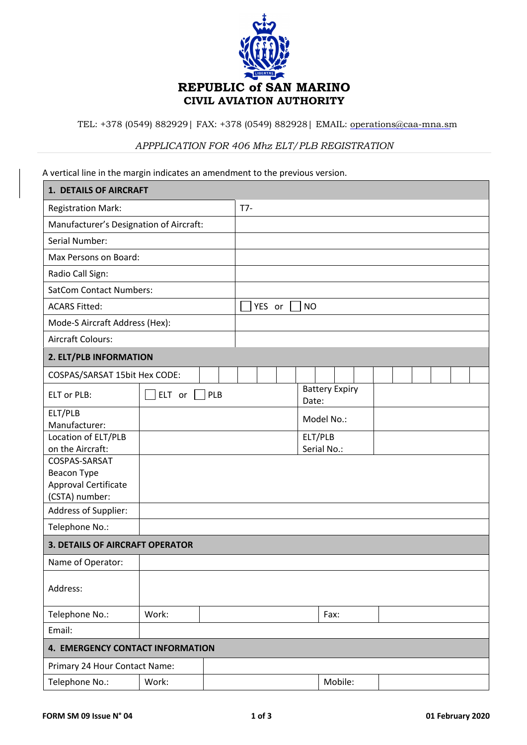

TEL: +378 (0549) 882929 | FAX: +378 (0549) 882928 | EMAIL: operations@caa-mna.sm

## *APPPLICATION FOR 406 Mhz ELT/PLB REGISTRATION*

A vertical line in the margin indicates an amendment to the previous version.

| 1. DETAILS OF AIRCRAFT                  |                      |  |                     |       |                       |  |  |  |  |
|-----------------------------------------|----------------------|--|---------------------|-------|-----------------------|--|--|--|--|
| <b>Registration Mark:</b>               |                      |  | $T7-$               |       |                       |  |  |  |  |
| Manufacturer's Designation of Aircraft: |                      |  |                     |       |                       |  |  |  |  |
| Serial Number:                          |                      |  |                     |       |                       |  |  |  |  |
| Max Persons on Board:                   |                      |  |                     |       |                       |  |  |  |  |
| Radio Call Sign:                        |                      |  |                     |       |                       |  |  |  |  |
| <b>SatCom Contact Numbers:</b>          |                      |  |                     |       |                       |  |  |  |  |
| <b>ACARS Fitted:</b>                    |                      |  | YES or<br><b>NO</b> |       |                       |  |  |  |  |
| Mode-S Aircraft Address (Hex):          |                      |  |                     |       |                       |  |  |  |  |
| <b>Aircraft Colours:</b>                |                      |  |                     |       |                       |  |  |  |  |
| 2. ELT/PLB INFORMATION                  |                      |  |                     |       |                       |  |  |  |  |
| COSPAS/SARSAT 15bit Hex CODE:           |                      |  |                     |       |                       |  |  |  |  |
| <b>ELT or PLB:</b>                      | $ELT$ or $  $<br>PLB |  |                     | Date: | <b>Battery Expiry</b> |  |  |  |  |
| ELT/PLB<br>Manufacturer:                |                      |  |                     |       | Model No.:            |  |  |  |  |
| Location of ELT/PLB                     |                      |  |                     |       | ELT/PLB               |  |  |  |  |
| on the Aircraft:                        |                      |  | Serial No.:         |       |                       |  |  |  |  |
| COSPAS-SARSAT<br>Beacon Type            |                      |  |                     |       |                       |  |  |  |  |
| Approval Certificate                    |                      |  |                     |       |                       |  |  |  |  |
| (CSTA) number:                          |                      |  |                     |       |                       |  |  |  |  |
| Address of Supplier:                    |                      |  |                     |       |                       |  |  |  |  |
| Telephone No.:                          |                      |  |                     |       |                       |  |  |  |  |
| <b>3. DETAILS OF AIRCRAFT OPERATOR</b>  |                      |  |                     |       |                       |  |  |  |  |
| Name of Operator:                       |                      |  |                     |       |                       |  |  |  |  |
| Address:                                |                      |  |                     |       |                       |  |  |  |  |
| Telephone No.:                          | Work:                |  |                     |       | Fax:                  |  |  |  |  |
| Email:                                  |                      |  |                     |       |                       |  |  |  |  |
| 4. EMERGENCY CONTACT INFORMATION        |                      |  |                     |       |                       |  |  |  |  |
| Primary 24 Hour Contact Name:           |                      |  |                     |       |                       |  |  |  |  |
| Telephone No.:                          | Work:                |  |                     |       | Mobile:               |  |  |  |  |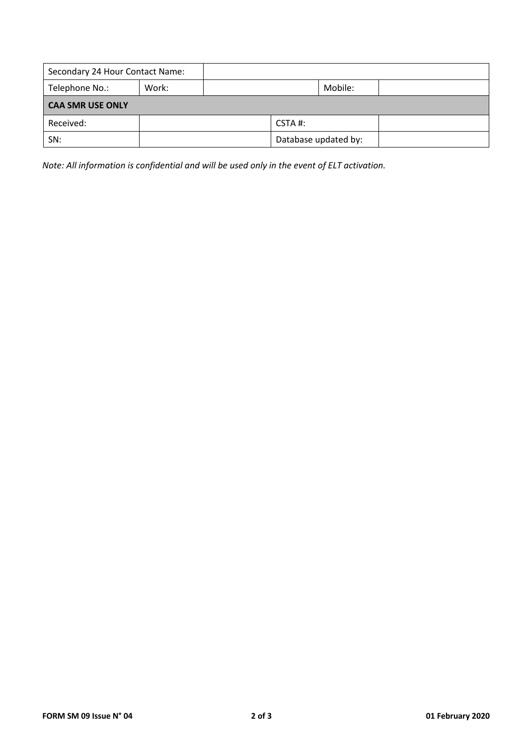| Secondary 24 Hour Contact Name: |       |  |                      |         |  |  |  |  |  |
|---------------------------------|-------|--|----------------------|---------|--|--|--|--|--|
| Telephone No.:                  | Work: |  |                      | Mobile: |  |  |  |  |  |
| <b>CAA SMR USE ONLY</b>         |       |  |                      |         |  |  |  |  |  |
| Received:                       |       |  | CSTA#:               |         |  |  |  |  |  |
| SN:                             |       |  | Database updated by: |         |  |  |  |  |  |

*Note: All information is confidential and will be used only in the event of ELT activation.*